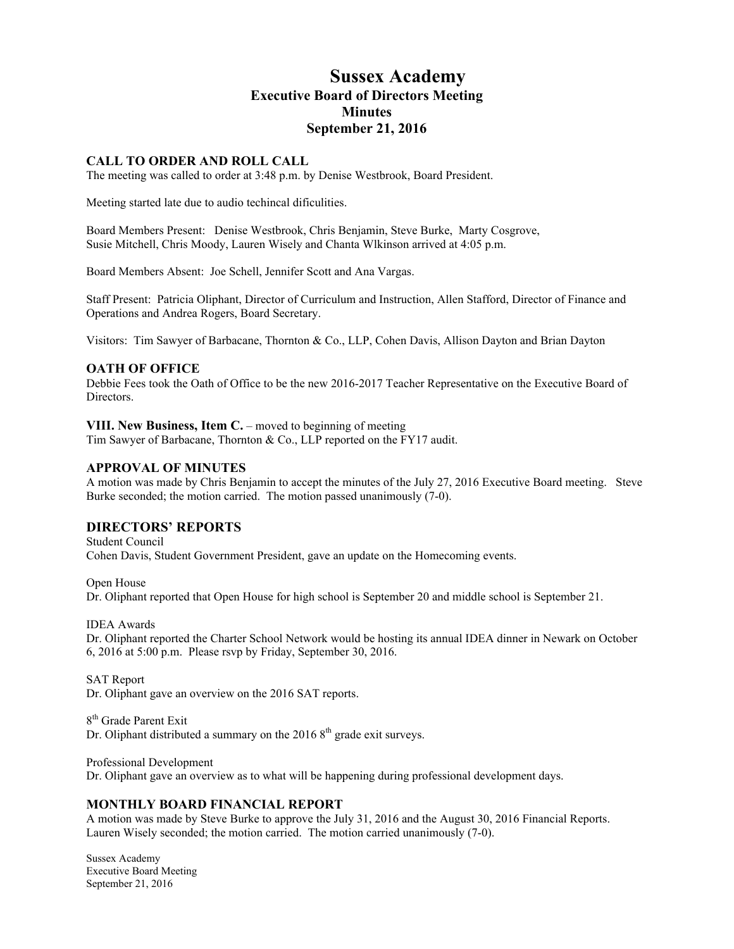## **Sussex Academy Executive Board of Directors Meeting Minutes September 21, 2016**

## **CALL TO ORDER AND ROLL CALL**

The meeting was called to order at 3:48 p.m. by Denise Westbrook, Board President.

Meeting started late due to audio techincal dificulities.

Board Members Present: Denise Westbrook, Chris Benjamin, Steve Burke, Marty Cosgrove, Susie Mitchell, Chris Moody, Lauren Wisely and Chanta Wlkinson arrived at 4:05 p.m.

Board Members Absent: Joe Schell, Jennifer Scott and Ana Vargas.

Staff Present: Patricia Oliphant, Director of Curriculum and Instruction, Allen Stafford, Director of Finance and Operations and Andrea Rogers, Board Secretary.

Visitors: Tim Sawyer of Barbacane, Thornton & Co., LLP, Cohen Davis, Allison Dayton and Brian Dayton

#### **OATH OF OFFICE**

Debbie Fees took the Oath of Office to be the new 2016-2017 Teacher Representative on the Executive Board of Directors.

#### **VIII. New Business, Item C.** – moved to beginning of meeting

Tim Sawyer of Barbacane, Thornton & Co., LLP reported on the FY17 audit.

#### **APPROVAL OF MINUTES**

A motion was made by Chris Benjamin to accept the minutes of the July 27, 2016 Executive Board meeting. Steve Burke seconded; the motion carried. The motion passed unanimously (7-0).

## **DIRECTORS' REPORTS**

Student Council Cohen Davis, Student Government President, gave an update on the Homecoming events.

Open House Dr. Oliphant reported that Open House for high school is September 20 and middle school is September 21.

IDEA Awards

Dr. Oliphant reported the Charter School Network would be hosting its annual IDEA dinner in Newark on October 6, 2016 at 5:00 p.m. Please rsvp by Friday, September 30, 2016.

SAT Report Dr. Oliphant gave an overview on the 2016 SAT reports.

8<sup>th</sup> Grade Parent Exit Dr. Oliphant distributed a summary on the  $20168<sup>th</sup>$  grade exit surveys.

Professional Development

Dr. Oliphant gave an overview as to what will be happening during professional development days.

## **MONTHLY BOARD FINANCIAL REPORT**

A motion was made by Steve Burke to approve the July 31, 2016 and the August 30, 2016 Financial Reports. Lauren Wisely seconded; the motion carried. The motion carried unanimously (7-0).

Sussex Academy Executive Board Meeting September 21, 2016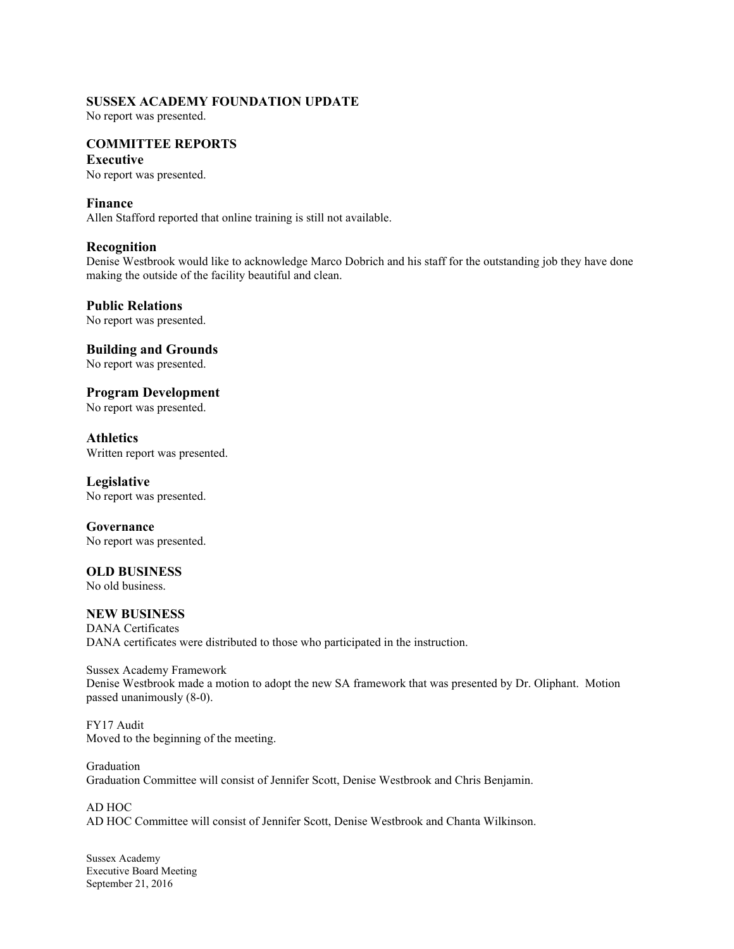#### **SUSSEX ACADEMY FOUNDATION UPDATE**

No report was presented.

**COMMITTEE REPORTS**

#### **Executive**

No report was presented.

## **Finance**

Allen Stafford reported that online training is still not available.

## **Recognition**

Denise Westbrook would like to acknowledge Marco Dobrich and his staff for the outstanding job they have done making the outside of the facility beautiful and clean.

## **Public Relations**

No report was presented.

**Building and Grounds** No report was presented.

## **Program Development**

No report was presented.

**Athletics** Written report was presented.

## **Legislative**

No report was presented.

# **Governance**

No report was presented.

# **OLD BUSINESS**

No old business.

## **NEW BUSINESS**

DANA Certificates DANA certificates were distributed to those who participated in the instruction.

Sussex Academy Framework Denise Westbrook made a motion to adopt the new SA framework that was presented by Dr. Oliphant. Motion passed unanimously (8-0).

FY17 Audit Moved to the beginning of the meeting.

Graduation Graduation Committee will consist of Jennifer Scott, Denise Westbrook and Chris Benjamin.

AD HOC AD HOC Committee will consist of Jennifer Scott, Denise Westbrook and Chanta Wilkinson.

Sussex Academy Executive Board Meeting September 21, 2016